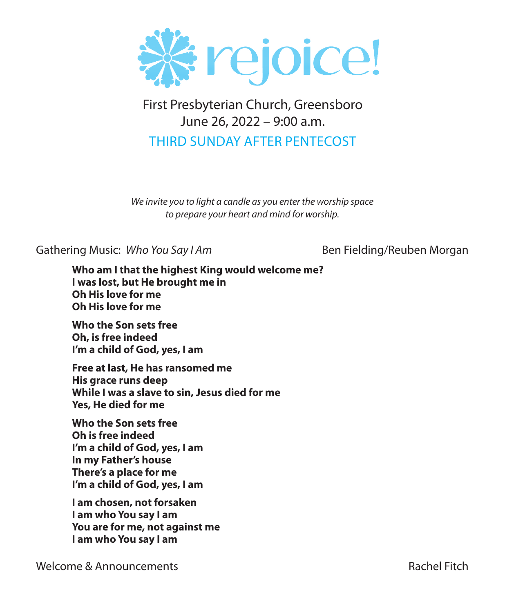

## First Presbyterian Church, Greensboro June 26, 2022 – 9:00 a.m. THIRD SUNDAY AFTER PENTECOST

*We invite you to light a candle as you enter the worship space to prepare your heart and mind for worship.*

Gathering Music: *Who You Say I Am* Ben Fielding/Reuben Morgan

**Who am I that the highest King would welcome me? I was lost, but He brought me in Oh His love for me Oh His love for me**

**Who the Son sets free Oh, is free indeed I'm a child of God, yes, I am**

**Free at last, He has ransomed me His grace runs deep While I was a slave to sin, Jesus died for me Yes, He died for me**

**Who the Son sets free Oh is free indeed I'm a child of God, yes, I am In my Father's house There's a place for me I'm a child of God, yes, I am**

**I am chosen, not forsaken I am who You say I am You are for me, not against me I am who You say I am**

Welcome & Announcements Rachel Fitch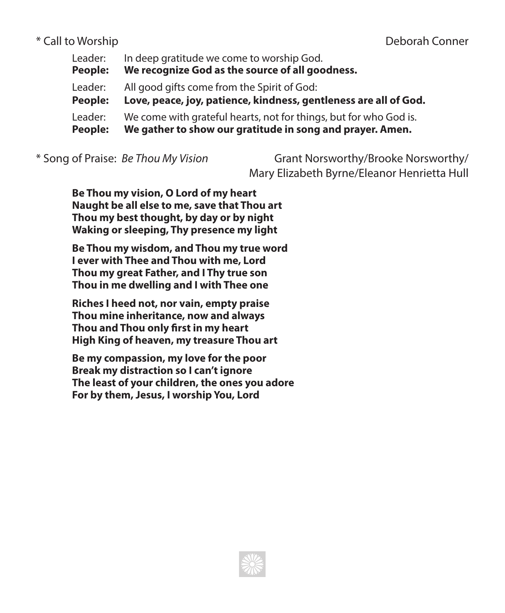\* Call to Worship **Deborah Conner Call to Worship Deborah Conner Deborah Conner** 

| Leader:        | In deep gratitude we come to worship God.                         |
|----------------|-------------------------------------------------------------------|
| People:        | We recognize God as the source of all goodness.                   |
| Leader:        | All good gifts come from the Spirit of God:                       |
| <b>People:</b> | Love, peace, joy, patience, kindness, gentleness are all of God.  |
| Leader:        | We come with grateful hearts, not for things, but for who God is. |
| People:        | We gather to show our gratitude in song and prayer. Amen.         |

\* Song of Praise: *Be Thou My Vision* Grant Norsworthy/Brooke Norsworthy/ Mary Elizabeth Byrne/Eleanor Henrietta Hull

**Be Thou my vision, O Lord of my heart Naught be all else to me, save that Thou art Thou my best thought, by day or by night Waking or sleeping, Thy presence my light**

**Be Thou my wisdom, and Thou my true word I ever with Thee and Thou with me, Lord Thou my great Father, and I Thy true son Thou in me dwelling and I with Thee one**

**Riches I heed not, nor vain, empty praise Thou mine inheritance, now and always Thou and Thou only first in my heart High King of heaven, my treasure Thou art**

**Be my compassion, my love for the poor Break my distraction so I can't ignore The least of your children, the ones you adore For by them, Jesus, I worship You, Lord**

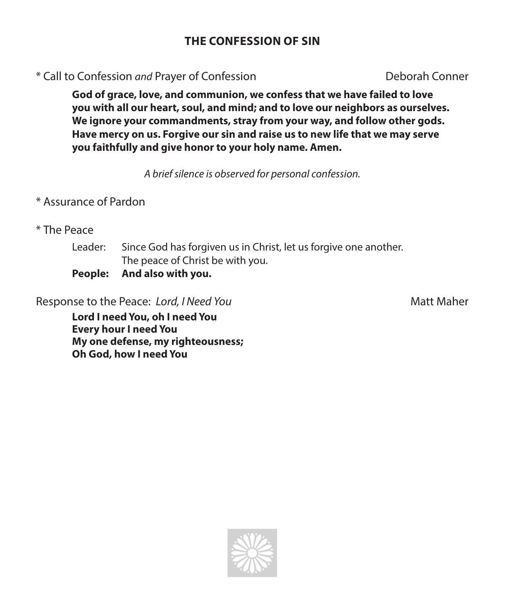### **THE CONFESSION OF SIN**

\* Call to Confession *and* Prayer of Confession Deborah Conner

**God of grace, love, and communion, we confess that we have failed to love you with all our heart, soul, and mind; and to love our neighbors as ourselves. We ignore your commandments, stray from your way, and follow other gods. Have mercy on us. Forgive our sin and raise us to new life that we may serve you faithfully and give honor to your holy name. Amen.**

*A brief silence is observed for personal confession.*

- \* Assurance of Pardon
- \* The Peace
	- Leader: Since God has forgiven us in Christ, let us forgive one another. The peace of Christ be with you.
	- **People: And also with you.**

Response to the Peace: *Lord, I Need You* Matt Maher Matt Maher

**Lord I need You, oh I need You Every hour I need You My one defense, my righteousness; Oh God, how I need You**

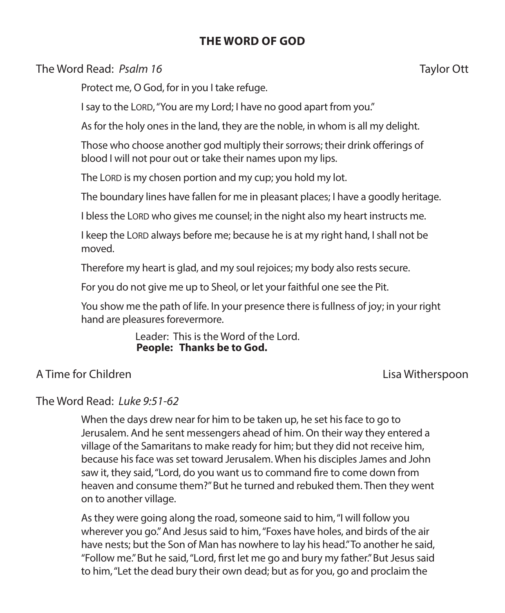### **THE WORD OF GOD**

### The Word Read: *Psalm 16* Taylor Ott **Taylor Ott Taylor Ott Taylor Ott Taylor Ott**

Protect me, O God, for in you I take refuge.

I say to the LORD, "You are my Lord; I have no good apart from you."

As for the holy ones in the land, they are the noble, in whom is all my delight.

Those who choose another god multiply their sorrows; their drink offerings of blood I will not pour out or take their names upon my lips.

The LORD is my chosen portion and my cup; you hold my lot.

The boundary lines have fallen for me in pleasant places; I have a goodly heritage.

I bless the LORD who gives me counsel; in the night also my heart instructs me.

I keep the LORD always before me; because he is at my right hand, I shall not be moved.

Therefore my heart is glad, and my soul rejoices; my body also rests secure.

For you do not give me up to Sheol, or let your faithful one see the Pit.

You show me the path of life. In your presence there is fullness of joy; in your right hand are pleasures forevermore.

> Leader: This is the Word of the Lord.  **People: Thanks be to God.**

### A Time for Children **Lisa Witherspoon**

### The Word Read: *Luke 9:51-62*

When the days drew near for him to be taken up, he set his face to go to Jerusalem. And he sent messengers ahead of him. On their way they entered a village of the Samaritans to make ready for him; but they did not receive him, because his face was set toward Jerusalem. When his disciples James and John saw it, they said, "Lord, do you want us to command fire to come down from heaven and consume them?" But he turned and rebuked them. Then they went on to another village.

As they were going along the road, someone said to him, "I will follow you wherever you go." And Jesus said to him, "Foxes have holes, and birds of the air have nests; but the Son of Man has nowhere to lay his head." To another he said, "Follow me." But he said, "Lord, first let me go and bury my father." But Jesus said to him, "Let the dead bury their own dead; but as for you, go and proclaim the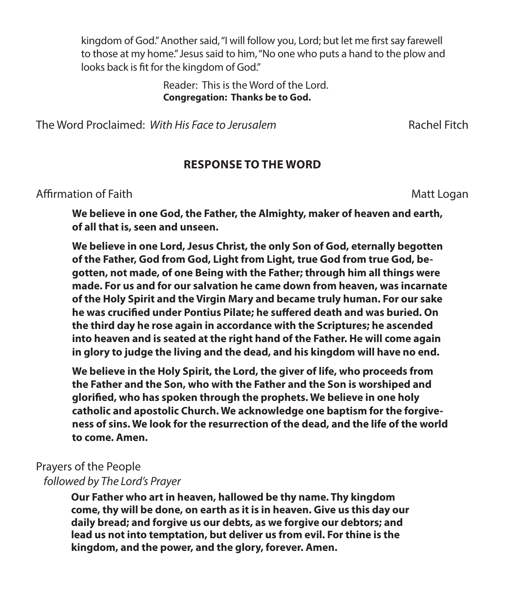kingdom of God." Another said, "I will follow you, Lord; but let me first say farewell to those at my home." Jesus said to him, "No one who puts a hand to the plow and looks back is fit for the kingdom of God."

> Reader: This is the Word of the Lord. **Congregation: Thanks be to God.**

The Word Proclaimed: *With His Face to Jerusalem* Rachel Fitch

### **RESPONSE TO THE WORD**

### Affirmation of Faith Matt Logan Matt Logan Matt Logan

**We believe in one God, the Father, the Almighty, maker of heaven and earth, of all that is, seen and unseen.** 

**We believe in one Lord, Jesus Christ, the only Son of God, eternally begotten of the Father, God from God, Light from Light, true God from true God, begotten, not made, of one Being with the Father; through him all things were made. For us and for our salvation he came down from heaven, was incarnate of the Holy Spirit and the Virgin Mary and became truly human. For our sake he was crucified under Pontius Pilate; he suffered death and was buried. On the third day he rose again in accordance with the Scriptures; he ascended into heaven and is seated at the right hand of the Father. He will come again in glory to judge the living and the dead, and his kingdom will have no end.** 

**We believe in the Holy Spirit, the Lord, the giver of life, who proceeds from the Father and the Son, who with the Father and the Son is worshiped and glorified, who has spoken through the prophets. We believe in one holy catholic and apostolic Church. We acknowledge one baptism for the forgiveness of sins. We look for the resurrection of the dead, and the life of the world to come. Amen.**

### Prayers of the People

*followed by The Lord's Prayer*

**Our Father who art in heaven, hallowed be thy name. Thy kingdom come, thy will be done, on earth as it is in heaven. Give us this day our daily bread; and forgive us our debts, as we forgive our debtors; and lead us not into temptation, but deliver us from evil. For thine is the kingdom, and the power, and the glory, forever. Amen.**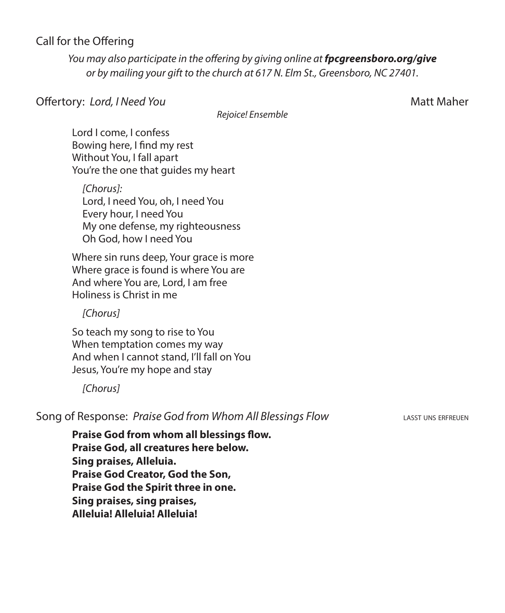### Call for the Offering

*You may also [participate in the offering by giving online at](https://app.securegive.com/FPCGreensboro/main/donate/category) fpcgreensboro.org/give or by mailing your gift to the church at 617 N. Elm St., Greensboro, NC 27401.*

Offertory: *Lord, I Need You* Matt Maher

*Rejoice! Ensemble*

Lord I come, I confess Bowing here, I find my rest Without You, I fall apart You're the one that guides my heart

 *[Chorus]:* Lord, I need You, oh, I need You Every hour, I need You My one defense, my righteousness Oh God, how I need You

Where sin runs deep, Your grace is more Where grace is found is where You are And where You are, Lord, I am free Holiness is Christ in me

*[Chorus]*

So teach my song to rise to You When temptation comes my way And when I cannot stand, I'll fall on You Jesus, You're my hope and stay

*[Chorus]*

Song of Response: *Praise God from Whom All Blessings Flow* LASST UNS ERFREUEN

**Praise God from whom all blessings flow. Praise God, all creatures here below. Sing praises, Alleluia. Praise God Creator, God the Son, Praise God the Spirit three in one. Sing praises, sing praises, Alleluia! Alleluia! Alleluia!**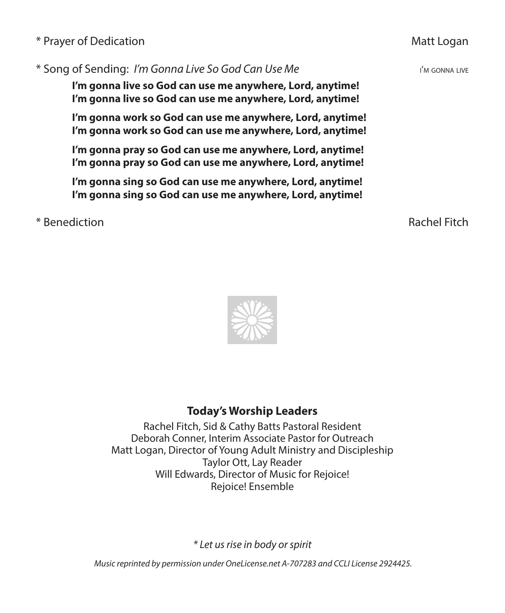\* Prayer of Dedication Matt Logan

### \* Song of Sending: *I'm Gonna Live So God Can Use Me* i'm gonna live

**I'm gonna live so God can use me anywhere, Lord, anytime! I'm gonna live so God can use me anywhere, Lord, anytime!**

**I'm gonna work so God can use me anywhere, Lord, anytime! I'm gonna work so God can use me anywhere, Lord, anytime!**

**I'm gonna pray so God can use me anywhere, Lord, anytime! I'm gonna pray so God can use me anywhere, Lord, anytime!**

**I'm gonna sing so God can use me anywhere, Lord, anytime! I'm gonna sing so God can use me anywhere, Lord, anytime!**

\* Benediction Rachel Fitch





### **Today's Worship Leaders**

Rachel Fitch, Sid & Cathy Batts Pastoral Resident Deborah Conner, Interim Associate Pastor for Outreach Matt Logan, Director of Young Adult Ministry and Discipleship Taylor Ott, Lay Reader Will Edwards, Director of Music for Rejoice! Rejoice! Ensemble

*\* Let us rise in body or spirit*

 *Music reprinted by permission under OneLicense.net A-707283 and CCLI License 2924425.*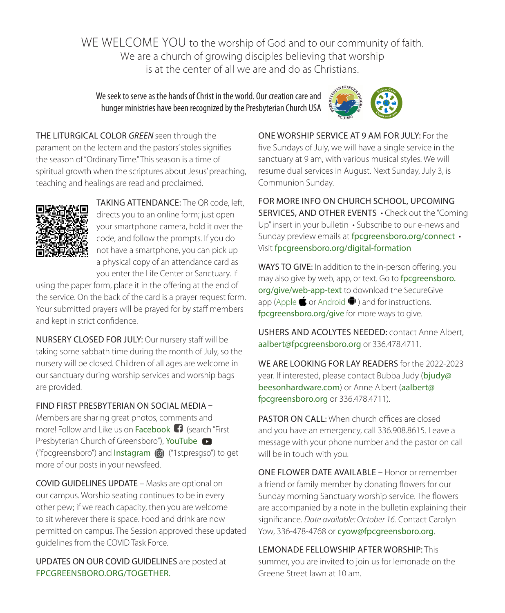WE WELCOME YOU to the worship of God and to our community of faith. We are a church of growing disciples believing that worship is at the center of all we are and do as Christians.

We seek to serve as the hands of Christ in the world. Our creation care and hunger ministries have been recognized by the Presbyterian Church USA



THE LITURGICAL COLOR *GREEN* seen through the parament on the lectern and the pastors' stoles signifies the season of "Ordinary Time." This season is a time of spiritual growth when the scriptures about Jesus' preaching, teaching and healings are read and proclaimed.



TAKING ATTENDANCE: The OR code, left, directs you to an online form; just open your smartphone camera, hold it over the code, and follow the prompts. If you do not have a smartphone, you can pick up a physical copy of an attendance card as you enter the Life Center or Sanctuary. If

using the paper form, place it in the offering at the end of the service. On the back of the card is a prayer request form. Your submitted prayers will be prayed for by staff members and kept in strict confidence.

NURSERY CLOSED FOR JULY: Our nursery staff will be taking some sabbath time during the month of July, so the nursery will be closed. Children of all ages are welcome in our sanctuary during worship services and worship bags are provided.

### FIND FIRST PRESBYTERIAN ON SOCIAL MEDIA –

Members are sharing great photos, comments and more!Follow and Like us on Facebook (Se[arch "](https://www.youtube.com/user/fpcgreensboro/)First Presbyterian Church of Greensbo[ro"\),](https://www.instagram.com/1stpresgso/) YouTube ("fpcgreensboro") and Instagram @ ("1stpresgso") to get more of our posts in your newsfeed.

COVID GUIDELINES UPDATE – Masks are optional on our campus. Worship seating continues to be in every other pew; if we reach capacity, then you are welcome to sit wherever there is space. Food and drink are now permitted on campus. The Session approved these updated guidelines from the COVID Task Force.

UPDATES ON OUR COVID GUIDELINES are posted at [FPCGREENSBORO.ORG/TOGETHER](http://fpcgreensboro.org/together).

ONE WORSHIP SERVICE AT 9 AM FOR JULY: For the five Sundays of July, we will have a single service in the sanctuary at 9 am, with various musical styles. We will resume dual services in August. Next Sunday, July 3, is Communion Sunday.

FOR MORE INFO ON CHURCH SCHOOL, UPCOMING SERVICES, AND OTHER EVENTS • Check out the "Coming Up" insert in your bulletin • Subscribe to our e-news and Sunday preview emails at [fpcgreensboro.org/connect](http://fpcgreensboro.org/connect) . Visit [fpcgreensboro.org/digital-formation](http://fpcgreensboro.org/digital-formation)

WAYS TO GIVE: In addition to the in-person offering, you may also give by web, app, or text. Go to [fpcgreensboro.](http://fpcgreensboro.org/give/web-app-text) [org/give/web-app-text](http://fpcgreensboro.org/give/web-app-text) to download the SecureGive app ([Apple](https://apps.apple.com/us/app/securegive/id1310755274)  $\bullet$  or Android  $\bullet$ ) and for instructions. [fpcgreensboro.org/give](http://fpcgreensboro.org/give) for more ways to give.

USHERS AND ACOLYTES NEEDED: contact Anne Albert, [aalbert@fpcgreensboro.org](mailto:aalbert%40fpcgreensboro.org?subject=Ushers%20%26%20acolytes%20needed%21) or 336.478.4711.

WE ARE LOOKING FOR LAY READERS for the 2022-2023 year. If interested, please contact Bubba Judy ([bjudy@](mailto:bjudy%40beesonhardware.com?subject=I%27m%20interested%20in%20being%20a%20lay%20reader) [beesonhardware.com](mailto:bjudy%40beesonhardware.com?subject=I%27m%20interested%20in%20being%20a%20lay%20reader)) or Anne Albert ([aalbert@](mailto:aalbert%40fpcgreensboro.org?subject=I%27m%20interested%20in%20being%20a%20lay%20reader) [fpcgreensboro.org](mailto:aalbert%40fpcgreensboro.org?subject=I%27m%20interested%20in%20being%20a%20lay%20reader) or 336.478.4711).

PASTOR ON CALL: When church offices are closed and you have an emergency, call 336.908.8615. Leave a message with your phone number and the pastor on call will be in touch with you.

ONE FLOWER DATE AVAILABLE – Honor or remember a friend or family member by donating flowers for our Sunday morning Sanctuary worship service. The flowers are accompanied by a note in the bulletin explaining their significance. *Date available: October 16.* Contact Carolyn Yow, 336-478-4768 or [cyow@fpcgreensboro.org](mailto:cyow%40fpcgreensboro.org?subject=Sanctuary%20flowers).

LEMONADE FELLOWSHIP AFTER WORSHIP: This summer, you are invited to join us for lemonade on the Greene Street lawn at 10 am.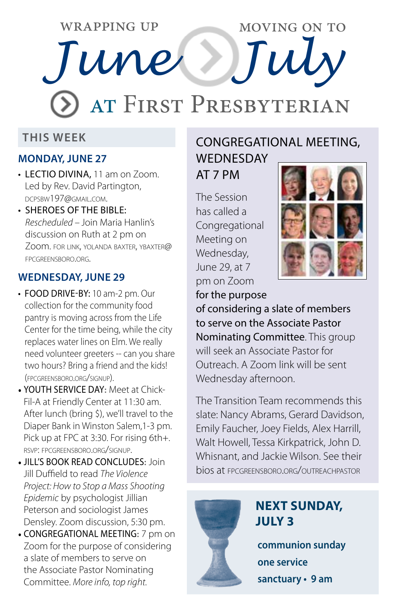wrapping up

*June*

moving on to

*July*

# at First Presbyterian

### **THIS WEEK**

### **MONDAY, JUNE 27**

- LECTIO DIVINA, 11 am on Zoom. Led by Rev. David Partington, dcpsbw197@gmail.com.
- SHEROES OF THE BIBLE: *Rescheduled –* Join Maria Hanlin's discussion on Ruth at 2 pm on Zoom. for link, yolanda baxter, ybaxter@ fpcgreensboro.org.

### **WEDNESDAY, JUNE 29**

- FOOD DRIVE-BY: 10 am-2 pm. Our collection for the community food pantry is moving across from the Life Center for the time being, while the city replaces water lines on Elm. We really need volunteer greeters -- can you share two hours? Bring a friend and the kids! (fpcgreensboro.org/signup).
- YOUTH SERVICE DAY**:** Meet at Chick-Fil-A at Friendly Center at 11:30 am. After lunch (bring \$), we'll travel to the Diaper Bank in Winston Salem,1-3 pm. Pick up at FPC at 3:30. For rising 6th+. rsvp: fpcgreensboro.org/signup.
- JILL'S BOOK READ CONCLUDES**:** Join Jill Duffield to read *The Violence Project: How to Stop a Mass Shooting Epidemic* by psychologist Jillian Peterson and sociologist James Densley. Zoom discussion, 5:30 pm.
- CONGREGATIONAL MEETING**:** 7 pm on Zoom for the purpose of considering a slate of members to serve on the Associate Pastor Nominating Committee. *More info, top right.*

### CONGREGATIONAL MEETING, WEDNESDAY AT 7 PM

The Session has called a Congregational Meeting on Wednesday, June 29, at 7 pm on Zoom



for the purpose

of considering a slate of members to serve on the Associate Pastor Nominating Committee. This group will seek an Associate Pastor for Outreach. A Zoom link will be sent Wednesday afternoon.

The Transition Team recommends this slate: Nancy Abrams, Gerard Davidson, Emily Faucher, Joey Fields, Alex Harrill, Walt Howell, Tessa Kirkpatrick, John D. Whisnant, and Jackie Wilson. See their bios at **FPCGREENSBORO.ORG/OUTREACHPASTOR** 



**NEXT SUNDAY, JULY 3 communion sunday**

**one service sanctuary • 9 am**